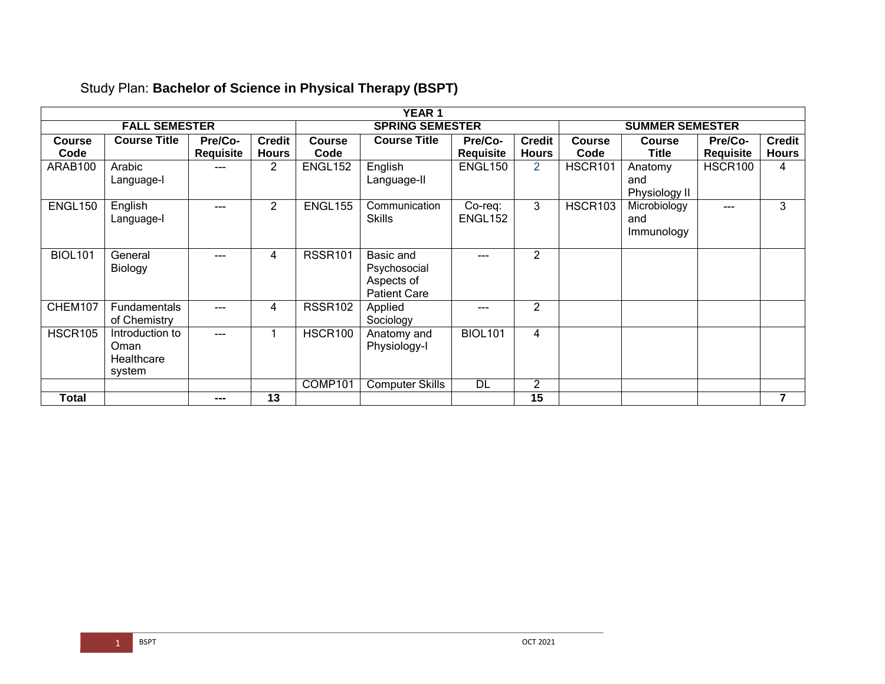## Study Plan: **Bachelor of Science in Physical Therapy (BSPT)**

| <b>YEAR 1</b>  |                                                 |                  |                 |                        |                                                                |                    |                |                        |                                   |                  |                |  |  |
|----------------|-------------------------------------------------|------------------|-----------------|------------------------|----------------------------------------------------------------|--------------------|----------------|------------------------|-----------------------------------|------------------|----------------|--|--|
|                | <b>FALL SEMESTER</b>                            |                  |                 | <b>SPRING SEMESTER</b> |                                                                |                    |                | <b>SUMMER SEMESTER</b> |                                   |                  |                |  |  |
| <b>Course</b>  | <b>Course Title</b>                             | Pre/Co-          | <b>Credit</b>   | <b>Course</b>          | <b>Course Title</b>                                            | Pre/Co-            | <b>Credit</b>  | <b>Course</b>          | <b>Course</b>                     | Pre/Co-          | <b>Credit</b>  |  |  |
| Code           |                                                 | <b>Requisite</b> | <b>Hours</b>    | Code                   |                                                                | <b>Requisite</b>   | <b>Hours</b>   | Code                   | <b>Title</b>                      | <b>Requisite</b> | <b>Hours</b>   |  |  |
| ARAB100        | Arabic<br>Language-l                            |                  | 2               | ENGL152                | English<br>Language-II                                         | ENGL150            | $\overline{2}$ | HSCR101                | Anatomy<br>and<br>Physiology II   | HSCR100          | 4              |  |  |
| ENGL150        | English<br>Language-I                           |                  | 2               | <b>ENGL155</b>         | Communication<br><b>Skills</b>                                 | Co-req:<br>ENGL152 | 3              | <b>HSCR103</b>         | Microbiology<br>and<br>Immunology | ---              | 3              |  |  |
| <b>BIOL101</b> | General<br>Biology                              |                  | 4               | <b>RSSR101</b>         | Basic and<br>Psychosocial<br>Aspects of<br><b>Patient Care</b> | ---                | $\overline{2}$ |                        |                                   |                  |                |  |  |
| CHEM107        | Fundamentals<br>of Chemistry                    | ---              | 4               | <b>RSSR102</b>         | Applied<br>Sociology                                           | ---                | $\overline{2}$ |                        |                                   |                  |                |  |  |
| <b>HSCR105</b> | Introduction to<br>Oman<br>Healthcare<br>system | ---              |                 | HSCR100                | Anatomy and<br>Physiology-I                                    | <b>BIOL101</b>     | 4              |                        |                                   |                  |                |  |  |
|                |                                                 |                  |                 | COMP101                | <b>Computer Skills</b>                                         | $\overline{DL}$    | $\overline{2}$ |                        |                                   |                  |                |  |  |
| Total          |                                                 | ---              | $\overline{13}$ |                        |                                                                |                    | 15             |                        |                                   |                  | $\overline{7}$ |  |  |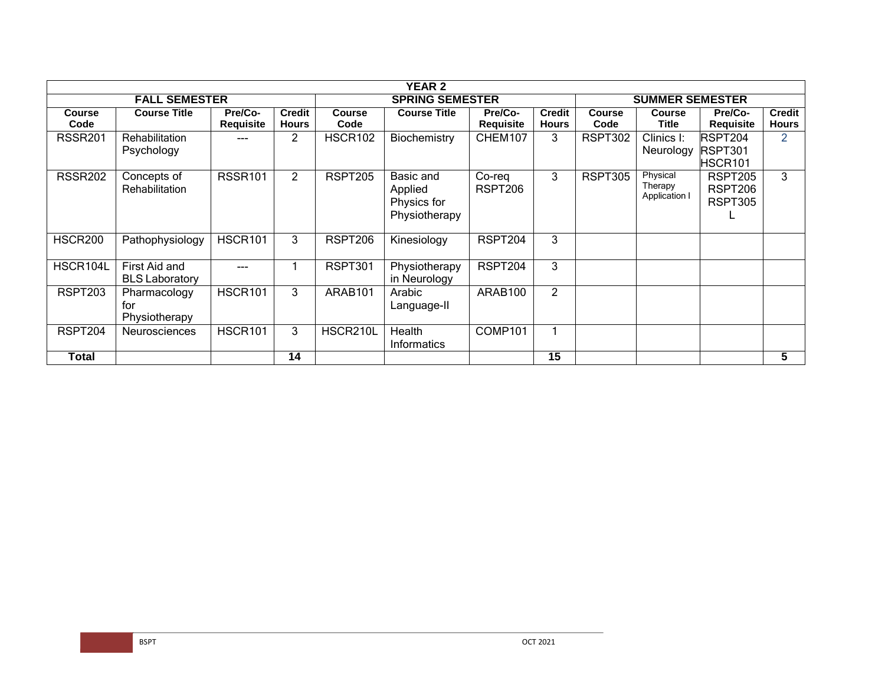| <b>YEAR 2</b>         |                                        |                             |                               |                       |                                                      |                             |                               |                       |                                      |                                      |                               |  |  |
|-----------------------|----------------------------------------|-----------------------------|-------------------------------|-----------------------|------------------------------------------------------|-----------------------------|-------------------------------|-----------------------|--------------------------------------|--------------------------------------|-------------------------------|--|--|
|                       | <b>FALL SEMESTER</b>                   |                             |                               |                       | <b>SPRING SEMESTER</b>                               | <b>SUMMER SEMESTER</b>      |                               |                       |                                      |                                      |                               |  |  |
| <b>Course</b><br>Code | <b>Course Title</b>                    | Pre/Co-<br><b>Requisite</b> | <b>Credit</b><br><b>Hours</b> | <b>Course</b><br>Code | <b>Course Title</b>                                  | Pre/Co-<br><b>Requisite</b> | <b>Credit</b><br><b>Hours</b> | <b>Course</b><br>Code | <b>Course</b><br><b>Title</b>        | Pre/Co-<br>Requisite                 | <b>Credit</b><br><b>Hours</b> |  |  |
| <b>RSSR201</b>        | Rehabilitation<br>Psychology           |                             | 2                             | HSCR102               | Biochemistry                                         | CHEM107                     | 3                             | <b>RSPT302</b>        | Clinics I:<br>Neurology              | RSPT204<br><b>RSPT301</b><br>HSCR101 | 2                             |  |  |
| <b>RSSR202</b>        | Concepts of<br>Rehabilitation          | <b>RSSR101</b>              | $\overline{2}$                | <b>RSPT205</b>        | Basic and<br>Applied<br>Physics for<br>Physiotherapy | Co-req<br><b>RSPT206</b>    | 3                             | <b>RSPT305</b>        | Physical<br>Therapy<br>Application I | RSPT205<br>RSPT206<br>RSPT305        | 3                             |  |  |
| <b>HSCR200</b>        | Pathophysiology                        | <b>HSCR101</b>              | 3                             | RSPT206               | Kinesiology                                          | RSPT204                     | 3                             |                       |                                      |                                      |                               |  |  |
| HSCR104L              | First Aid and<br><b>BLS Laboratory</b> |                             |                               | <b>RSPT301</b>        | Physiotherapy<br>in Neurology                        | RSPT204                     | 3                             |                       |                                      |                                      |                               |  |  |
| <b>RSPT203</b>        | Pharmacology<br>for<br>Physiotherapy   | HSCR101                     | 3                             | ARAB <sub>101</sub>   | Arabic<br>Language-II                                | ARAB100                     | $\overline{2}$                |                       |                                      |                                      |                               |  |  |
| <b>RSPT204</b>        | <b>Neurosciences</b>                   | <b>HSCR101</b>              | 3                             | HSCR210L              | Health<br><b>Informatics</b>                         | COMP101                     |                               |                       |                                      |                                      |                               |  |  |
| Total                 |                                        |                             | 14                            |                       |                                                      |                             | 15                            |                       |                                      |                                      | 5                             |  |  |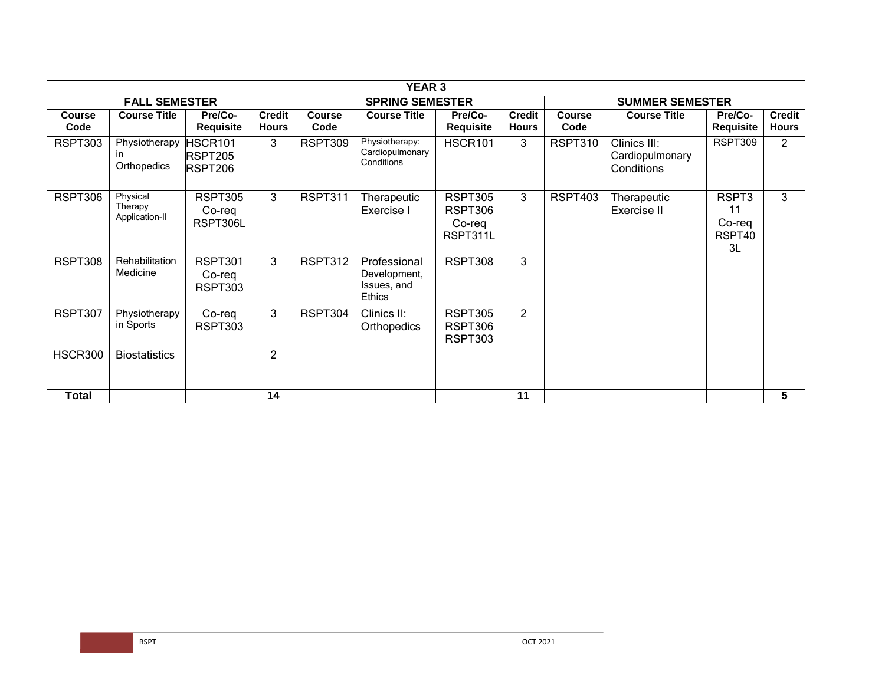|                       | <b>YEAR 3</b>                                 |                                                  |                               |                        |                                                              |                                                 |                               |                       |                                               |                                       |                               |  |  |
|-----------------------|-----------------------------------------------|--------------------------------------------------|-------------------------------|------------------------|--------------------------------------------------------------|-------------------------------------------------|-------------------------------|-----------------------|-----------------------------------------------|---------------------------------------|-------------------------------|--|--|
|                       | <b>FALL SEMESTER</b>                          |                                                  |                               | <b>SPRING SEMESTER</b> |                                                              |                                                 | <b>SUMMER SEMESTER</b>        |                       |                                               |                                       |                               |  |  |
| <b>Course</b><br>Code | <b>Course Title</b>                           | Pre/Co-<br><b>Requisite</b>                      | <b>Credit</b><br><b>Hours</b> | <b>Course</b><br>Code  | <b>Course Title</b>                                          | Pre/Co-<br><b>Requisite</b>                     | <b>Credit</b><br><b>Hours</b> | <b>Course</b><br>Code | <b>Course Title</b>                           | Pre/Co-<br><b>Requisite</b>           | <b>Credit</b><br><b>Hours</b> |  |  |
| <b>RSPT303</b>        | Physiotherapy<br><sub>in</sub><br>Orthopedics | HSCR <sub>101</sub><br>RSPT205<br><b>RSPT206</b> | 3                             | <b>RSPT309</b>         | Physiotherapy:<br>Cardiopulmonary<br>Conditions              | HSCR101                                         | 3                             | RSPT310               | Clinics III:<br>Cardiopulmonary<br>Conditions | <b>RSPT309</b>                        | $\overline{2}$                |  |  |
| RSPT306               | Physical<br>Therapy<br>Application-II         | RSPT305<br>Co-req<br>RSPT306L                    | 3                             | RSPT311                | Therapeutic<br>Exercise I                                    | <b>RSPT305</b><br>RSPT306<br>Co-req<br>RSPT311L | 3                             | <b>RSPT403</b>        | Therapeutic<br>Exercise II                    | RSPT3<br>11<br>Co-req<br>RSPT40<br>3L | 3                             |  |  |
| <b>RSPT308</b>        | Rehabilitation<br>Medicine                    | <b>RSPT301</b><br>Co-reg<br>RSPT303              | 3                             | RSPT312                | Professional<br>Development,<br>Issues, and<br><b>Ethics</b> | <b>RSPT308</b>                                  | 3                             |                       |                                               |                                       |                               |  |  |
| <b>RSPT307</b>        | Physiotherapy<br>in Sports                    | Co-req<br>RSPT303                                | 3                             | RSPT304                | Clinics II:<br>Orthopedics                                   | <b>RSPT305</b><br>RSPT306<br><b>RSPT303</b>     | $\overline{2}$                |                       |                                               |                                       |                               |  |  |
| <b>HSCR300</b>        | <b>Biostatistics</b>                          |                                                  | $\overline{2}$                |                        |                                                              |                                                 |                               |                       |                                               |                                       |                               |  |  |
| <b>Total</b>          |                                               |                                                  | 14                            |                        |                                                              |                                                 | 11                            |                       |                                               |                                       | 5                             |  |  |